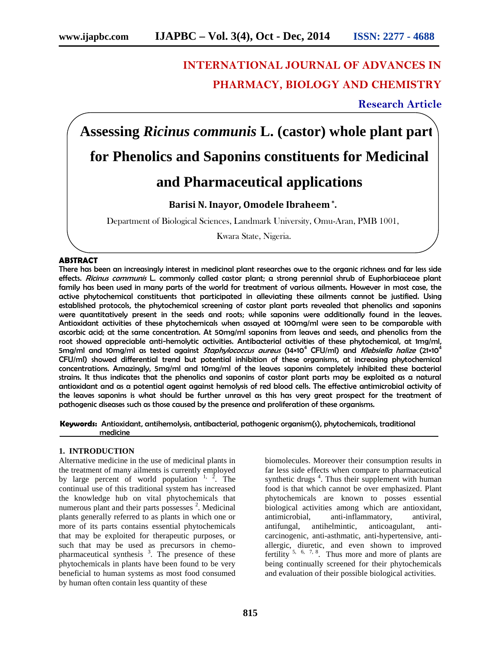## **INTERNATIONAL JOURNAL OF ADVANCES IN PHARMACY, BIOLOGY AND CHEMISTRY**

**Research Article**

# **Assessing** *Ricinus communis* **L. (castor) whole plant parts for Phenolics and Saponins constituents for Medicinal and Pharmaceutical applications**

## **Barisi N. Inayor, Omodele Ibraheem \* .**

Department of Biological Sciences, Landmark University, Omu-Aran, PMB 1001,

Kwara State, Nigeria.

#### **ABSTRACT**

There has been an increasingly interest in medicinal plant researches owe to the organic richness and far less side effects. *Ricinus communis* L. commonly called castor plant; a strong perennial shrub of Euphorbiaceae plant family has been used in many parts of the world for treatment of various ailments. However in most case, the active phytochemical constituents that participated in alleviating these ailments cannot be justified. Using established protocols, the phytochemical screening of castor plant parts revealed that phenolics and saponins were quantitatively present in the seeds and roots; while saponins were additionally found in the leaves. Antioxidant activities of these phytochemicals when assayed at 100mg/ml were seen to be comparable with ascorbic acid; at the same concentration. At 50mg/ml saponins from leaves and seeds, and phenolics from the root showed appreciable anti-hemolytic activities. Antibacterial activities of these phytochemical, at 1mg/ml, 5mg/ml and 10mg/ml as tested against *Staphylococcus aureus* (14×10<sup>4</sup> CFU/ml) and *Klebsiella halize* (21×10<sup>4</sup> CFU/ml) showed differential trend but potential inhibition of these organisms, at increasing phytochemical concentrations. Amazingly, 5mg/ml and 10mg/ml of the leaves saponins completely inhibited these bacterial strains. It thus indicates that the phenolics and saponins of castor plant parts may be exploited as a natural antioxidant and as a potential agent against hemolysis of red blood cells. The effective antimicrobial activity of the leaves saponins is what should be further unravel as this has very great prospect for the treatment of pathogenic diseases such as those caused by the presence and proliferation of these organisms.

**Keywords:** Antioxidant, antihemolysis, antibacterial, pathogenic organism(s), phytochemicals, traditional medicine

#### **1. INTRODUCTION**

Alternative medicine in the use of medicinal plants in the treatment of many ailments is currently employed by large percent of world population  $1, 2$ . The continual use of this traditional system has increased the knowledge hub on vital phytochemicals that numerous plant and their parts possesses  $2$ . Medicinal plants generally referred to as plants in which one or more of its parts contains essential phytochemicals that may be exploited for therapeutic purposes, or such that may be used as precursors in chemo pharmaceutical synthesis<sup>3</sup>. The presence of these phytochemicals in plants have been found to be very beneficial to human systems as most food consumed by human often contain less quantity of these

biomolecules. Moreover their consumption results in far less side effects when compare to pharmaceutical synthetic drugs<sup>4</sup>. Thus their supplement with human food is that which cannot be over emphasized. Plant phytochemicals are known to posses essential biological activities among which are antioxidant, antimicrobial, anti-inflammatory, antiviral, antifungal, antihelmintic, anticoagulant, anti carcinogenic, anti-asthmatic, anti-hypertensive, anti allergic, diuretic, and even shown to improved fertility  $5, 6, 7, 8$ . Thus more and more of plants are being continually screened for their phytochemicals and evaluation of their possible biological activities.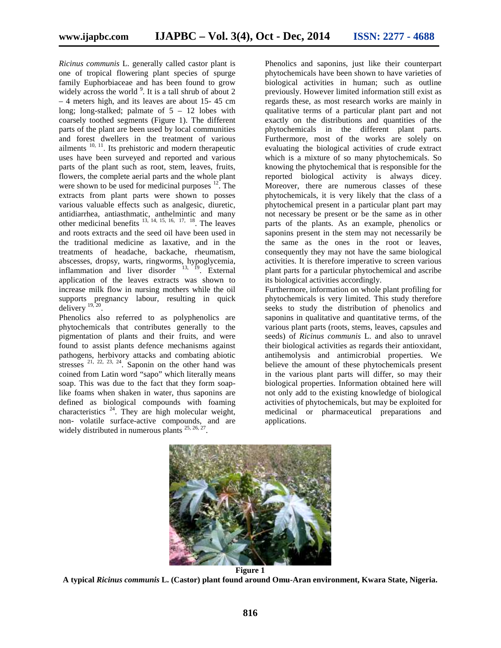*Ricinus communis* L. generally called castor plant is one of tropical flowering plant species of spurge family Euphorbiaceae and has been found to grow widely across the world  $\degree$ . It is a tall shrub of about 2 – 4 meters high, and its leaves are about 15- 45 cm long; long-stalked; palmate of  $5 - 12$  lobes with coarsely toothed segments (Figure 1). The different parts of the plant are been used by local communities and forest dwellers in the treatment of various ailments  $10, 11$ . Its prehistoric and modern therapeutic uses have been surveyed and reported and various parts of the plant such as root, stem, leaves, fruits, flowers, the complete aerial parts and the whole plant were shown to be used for medicinal purposes  $12<sup>2</sup>$ . The extracts from plant parts were shown to posses various valuable effects such as analgesic, diuretic, antidiarrhea, antiasthmatic, anthelmintic and many other medicinal benefits  $^{13, 14, 15, 16, 17, 18}$ . The leaves and roots extracts and the seed oil have been used in the traditional medicine as laxative, and in the treatments of headache, backache, rheumatism, abscesses, dropsy, warts, ringworms, hypoglycemia, inflammation and liver disorder  $^{13}$ ,  $^{19}$ . External application of the leaves extracts was shown to increase milk flow in nursing mothers while the oil supports pregnancy labour, resulting in quick delivery  $19,20$ .

Phenolics also referred to as polyphenolics are phytochemicals that contributes generally to the pigmentation of plants and their fruits, and were found to assist plants defence mechanisms against pathogens, herbivory attacks and combating abiotic stresses  $21, 22, 23, 24$ . Saponin on the other hand was coined from Latin word "sapo" which literally means soap. This was due to the fact that they form soaplike foams when shaken in water, thus saponins are defined as biological compounds with foaming characteristics  $^{24}$ . They are high molecular weight, non- volatile surface-active compounds, and are widely distributed in numerous plants  $^{25, 26, 27}$ .

Phenolics and saponins, just like their counterpart phytochemicals have been shown to have varieties of biological activities in human; such as outline previously. However limited information still exist as regards these, as most research works are mainly in qualitative terms of a particular plant part and not exactly on the distributions and quantities of the phytochemicals in the different plant parts. Furthermore, most of the works are solely on evaluating the biological activities of crude extract which is a mixture of so many phytochemicals. So knowing the phytochemical that is responsible for the reported biological activity is always dicey. Moreover, there are numerous classes of these phytochemicals, it is very likely that the class of a phytochemical present in a particular plant part may not necessary be present or be the same as in other parts of the plants. As an example, phenolics or saponins present in the stem may not necessarily be the same as the ones in the root or leaves, consequently they may not have the same biological activities. It is therefore imperative to screen various plant parts for a particular phytochemical and ascribe its biological activities accordingly.

Furthermore, information on whole plant profiling for phytochemicals is very limited. This study therefore seeks to study the distribution of phenolics and saponins in qualitative and quantitative terms, of the various plant parts (roots, stems, leaves, capsules and seeds) of *Ricinus communis* L. and also to unravel their biological activities as regards their antioxidant, antihemolysis and antimicrobial properties. We believe the amount of these phytochemicals present in the various plant parts will differ, so may their biological properties. Information obtained here will not only add to the existing knowledge of biological activities of phytochemicals, but may be exploited for medicinal or pharmaceutical preparations and applications.



**A typical** *Ricinus communis* **L. (Castor) plant found around Omu-Aran environment, Kwara State, Nigeria.**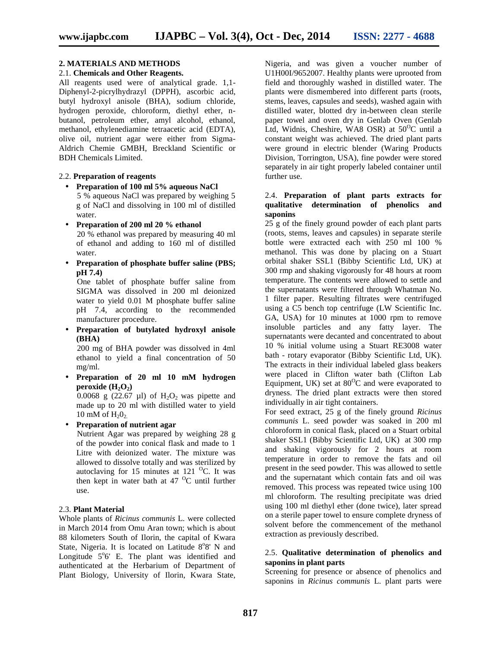## **2. MATERIALS AND METHODS**

#### 2.1. **Chemicals and Other Reagents.**

All reagents used were of analytical grade. 1,1- Diphenyl-2-picrylhydrazyl (DPPH), ascorbic acid, butyl hydroxyl anisole (BHA), sodium chloride, hydrogen peroxide, chloroform, diethyl ether, n butanol, petroleum ether, amyl alcohol, ethanol, methanol, ethylenediamine tetraacetic acid (EDTA), olive oil, nutrient agar were either from Sigma- Aldrich Chemie GMBH, Breckland Scientific or BDH Chemicals Limited.

#### 2.2. **Preparation of reagents**

- **Preparation of 100 ml 5% aqueous NaCl** 5 % aqueous NaCl was prepared by weighing 5 g of NaCl and dissolving in 100 ml of distilled water.
- **Preparation of 200 ml 20 % ethanol** 20 % ethanol was prepared by measuring 40 ml of ethanol and adding to 160 ml of distilled water.
- **Preparation of phosphate buffer saline (PBS; pH 7.4)**

One tablet of phosphate buffer saline from SIGMA was dissolved in 200 ml deionized water to yield 0.01 M phosphate buffer saline pH 7.4, according to the recommended manufacturer procedure.

 **Preparation of butylated hydroxyl anisole (BHA)**

200 mg of BHA powder was dissolved in 4ml ethanol to yield a final concentration of 50 mg/ml.

 **Preparation of 20 ml 10 mM hydrogen peroxide**  $(H_2O_2)$ 0.0068 g (22.67  $\mu$ l) of H<sub>2</sub>O<sub>2</sub> was pipette and

made up to 20 ml with distilled water to yield 10 mM of  $H_2O_2$ .

**Preparation of nutrient agar**

Nutrient Agar was prepared by weighing 28 g of the powder into conical flask and made to 1 Litre with deionized water. The mixture was allowed to dissolve totally and was sterilized by autoclaving for 15 minutes at 121  $^{0}$ C. It was then kept in water bath at  $47<sup>o</sup>C$  until further use.

#### 2.3. **Plant Material**

Whole plants of *Ricinus communis* L. were collected in March 2014 from Omu Aran town; which is about 88 kilometers South of Ilorin, the capital of Kwara State, Nigeria. It is located on Latitude 8°8' N and Longitude  $5^{\circ}6'$  E. The plant was identified and authenticated at the Herbarium of Department of Plant Biology, University of Ilorin, Kwara State,

Nigeria, and was given a voucher number of U1H00I/9652007. Healthy plants were uprooted from field and thoroughly washed in distilled water. The plants were dismembered into different parts (roots, stems, leaves, capsules and seeds), washed again with distilled water, blotted dry in-between clean sterile paper towel and oven dry in Genlab Oven (Genlab Ltd, Widnis, Cheshire, WA8 OSR) at  $50^{\circ}$ C until a constant weight was achieved. The dried plant parts were ground in electric blender (Waring Products Division, Torrington, USA), fine powder were stored separately in air tight properly labeled container until further use.

#### 2.4. **Preparation of plant parts extracts for qualitative determination of phenolics and saponins**

25 g of the finely ground powder of each plant parts (roots, stems, leaves and capsules) in separate sterile bottle were extracted each with 250 ml 100 % methanol. This was done by placing on a Stuart orbital shaker SSL1 (Bibby Scientific Ltd, UK) at 300 rmp and shaking vigorously for 48 hours at room temperature. The contents were allowed to settle and the supernatants were filtered through Whatman No. 1 filter paper. Resulting filtrates were centrifuged using a C5 bench top centrifuge (LW Scientific Inc. GA, USA) for 10 minutes at 1000 rpm to remove insoluble particles and any fatty layer. The supernatants were decanted and concentrated to about 10 % initial volume using a Stuart RE3008 water bath - rotary evaporator (Bibby Scientific Ltd, UK). The extracts in their individual labeled glass beakers were placed in Clifton water bath (Clifton Lab Equipment, UK) set at  $80^{\circ}$ C and were evaporated to dryness. The dried plant extracts were then stored individually in air tight containers.

For seed extract, 25 g of the finely ground *Ricinus communis* L. seed powder was soaked in 200 ml chloroform in conical flask, placed on a Stuart orbital shaker SSL1 (Bibby Scientific Ltd, UK) at 300 rmp and shaking vigorously for 2 hours at room temperature in order to remove the fats and oil present in the seed powder. This was allowed to settle and the supernatant which contain fats and oil was removed. This process was repeated twice using 100 ml chloroform. The resulting precipitate was dried using 100 ml diethyl ether (done twice), later spread on a sterile paper towel to ensure complete dryness of solvent before the commencement of the methanol extraction as previously described.

#### 2.5. **Qualitative determination of phenolics and saponins in plant parts**

Screening for presence or absence of phenolics and saponins in *Ricinus communis* L. plant parts were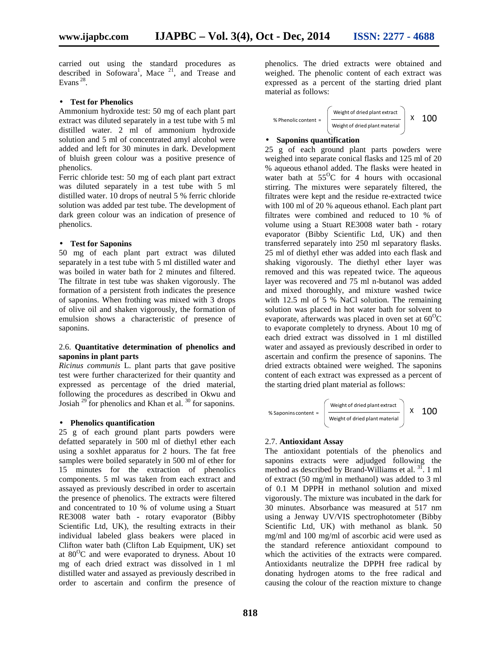carried out using the standard procedures as described in Sofowara<sup>1</sup>, Mace <sup>21</sup>, and Trease and Evans  $^{28}$ .

#### **Test for Phenolics**

Ammonium hydroxide test: 50 mg of each plant part extract was diluted separately in a test tube with 5 ml distilled water. 2 ml of ammonium hydroxide solution and 5 ml of concentrated amyl alcohol were added and left for 30 minutes in dark. Development of bluish green colour was a positive presence of phenolics.

Ferric chloride test: 50 mg of each plant part extract was diluted separately in a test tube with 5 ml distilled water. 10 drops of neutral 5 % ferric chloride solution was added par test tube. The development of dark green colour was an indication of presence of phenolics.

#### **Test for Saponins**

50 mg of each plant part extract was diluted separately in a test tube with 5 ml distilled water and was boiled in water bath for 2 minutes and filtered. The filtrate in test tube was shaken vigorously. The formation of a persistent froth indicates the presence of saponins. When frothing was mixed with 3 drops of olive oil and shaken vigorously, the formation of emulsion shows a characteristic of presence of saponins.

#### 2.6. **Quantitative determination of phenolics and saponins in plant parts**

*Ricinus communis* L. plant parts that gave positive test were further characterized for their quantity and expressed as percentage of the dried material, following the procedures as described in Okwu and Josiah  $^{29}$  for phenolics and Khan et al.  $^{30}$  for saponins.

#### **Phenolics quantification**

25 g of each ground plant parts powders were defatted separately in 500 ml of diethyl ether each using a soxhlet apparatus for 2 hours. The fat free samples were boiled separately in 500 ml of ether for 15 minutes for the extraction of phenolics components. 5 ml was taken from each extract and assayed as previously described in order to ascertain the presence of phenolics. The extracts were filtered and concentrated to 10 % of volume using a Stuart RE3008 water bath - rotary evaporator (Bibby Scientific Ltd, UK), the resulting extracts in their individual labeled glass beakers were placed in Clifton water bath (Clifton Lab Equipment, UK) set at  $80^{\circ}$ C and were evaporated to dryness. About 10 mg of each dried extract was dissolved in 1 ml distilled water and assayed as previously described in order to ascertain and confirm the presence of

phenolics. The dried extracts were obtained and weighed. The phenolic content of each extract was expressed as a percent of the starting dried plant material as follows:

% Phenolic content = 
$$
\left(\frac{\text{Weight of dried plant extract}}{\text{Weight of dried plant material}}\right) \times 100
$$

### **Saponins quantification**

25 g of each ground plant parts powders were weighed into separate conical flasks and 125 ml of 20 % aqueous ethanol added. The flasks were heated in water bath at  $55^{\circ}$ C for 4 hours with occasional stirring. The mixtures were separately filtered, the filtrates were kept and the residue re-extracted twice with 100 ml of 20 % aqueous ethanol. Each plant part filtrates were combined and reduced to 10 % of volume using a Stuart RE3008 water bath - rotary evaporator (Bibby Scientific Ltd, UK) and then transferred separately into 250 ml separatory flasks. 25 ml of diethyl ether was added into each flask and shaking vigorously. The diethyl ether layer was removed and this was repeated twice. The aqueous layer was recovered and 75 ml n-butanol was added and mixed thoroughly, and mixture washed twice with 12.5 ml of 5 % NaCl solution. The remaining solution was placed in hot water bath for solvent to evaporate, afterwards was placed in oven set at  $60^{\circ}$ C to evaporate completely to dryness. About 10 mg of each dried extract was dissolved in 1 ml distilled water and assayed as previously described in order to ascertain and confirm the presence of saponins. The dried extracts obtained were weighed. The saponins content of each extract was expressed as a percent of the starting dried plant material as follows:

$$
\% \text{Saponins content} = \left(\begin{array}{c} \text{Weight of dried plant extract} \\ \text{Weight of dried plant material} \end{array}\right) \times 100
$$

#### 2.7. **Antioxidant Assay**

The antioxidant potentials of the phenolics and saponins extracts were adjudged following the method as described by Brand-Williams et al. <sup>31</sup>. 1 ml of extract (50 mg/ml in methanol) was added to 3 ml of 0.1 M DPPH in methanol solution and mixed vigorously. The mixture was incubated in the dark for 30 minutes. Absorbance was measured at 517 nm using a Jenway UV/VIS spectrophotometer (Bibby Scientific Ltd, UK) with methanol as blank. 50 mg/ml and 100 mg/ml of ascorbic acid were used as the standard reference antioxidant compound to which the activities of the extracts were compared. Antioxidants neutralize the DPPH free radical by donating hydrogen atoms to the free radical and causing the colour of the reaction mixture to change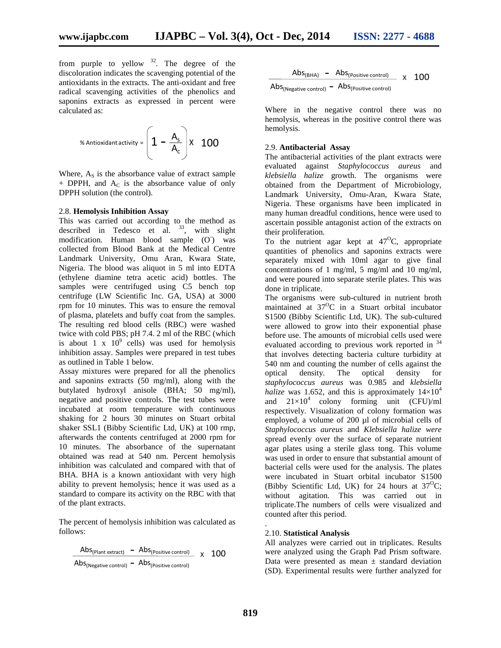from purple to yellow  $32$ . The degree of the discoloration indicates the scavenging potential of the antioxidants in the extracts. The anti-oxidant and free radical scavenging activities of the phenolics and saponins extracts as expressed in percent were calculated as:

% Antioxidant activity = 
$$
\left(1 - \frac{A_s}{A_c}\right) x
$$
 100

Where,  $A<sub>S</sub>$  is the absorbance value of extract sample  $+$  DPPH, and  $A_C$  is the absorbance value of only DPPH solution (the control).

#### 2.8. **Hemolysis Inhibition Assay**

This was carried out according to the method as described in Tedesco et al.  $33$ , with slight modification. Human blood sample  $(O)$  was collected from Blood Bank at the Medical Centre Landmark University, Omu Aran, Kwara State, Nigeria. The blood was aliquot in 5 ml into EDTA (ethylene diamine tetra acetic acid) bottles. The samples were centrifuged using C5 bench top centrifuge (LW Scientific Inc. GA, USA) at 3000 rpm for 10 minutes. This was to ensure the removal of plasma, platelets and buffy coat from the samples. The resulting red blood cells (RBC) were washed twice with cold PBS; pH 7.4. 2 ml of the RBC (which is about 1 x  $10^9$  cells) was used for hemolysis inhibition assay. Samples were prepared in test tubes as outlined in Table 1 below.

Assay mixtures were prepared for all the phenolics and saponins extracts (50 mg/ml), along with the butylated hydroxyl anisole (BHA; 50 mg/ml), negative and positive controls. The test tubes were incubated at room temperature with continuous shaking for 2 hours 30 minutes on Stuart orbital shaker SSL1 (Bibby Scientific Ltd, UK) at 100 rmp, afterwards the contents centrifuged at 2000 rpm for 10 minutes. The absorbance of the supernatant obtained was read at 540 nm. Percent hemolysis inhibition was calculated and compared with that of BHA. BHA is a known antioxidant with very high ability to prevent hemolysis; hence it was used as a standard to compare its activity on the RBC with that of the plant extracts.

The percent of hemolysis inhibition was calculated as follows:

$$
\frac{\text{Abs}_{\text{(Plant extract)}} - \text{Abs}_{\text{(Positive control)}}}{\text{Abs}_{\text{(Negative control)}} - \text{Abs}_{\text{(Positive control)}}} \times 100
$$

$$
\frac{\text{Abs}_{\text{(BHA)}} - \text{Abs}_{\text{(Positive control)}}}{\text{Abs}_{\text{(Negative control)}} - \text{Abs}_{\text{(Positive control)}}} \times 100
$$

Where in the negative control there was no hemolysis, whereas in the positive control there was hemolysis.

#### 2.9. **Antibacterial Assay**

The antibacterial activities of the plant extracts were evaluated against *Staphylococcus aureus* and *klebsiella halize* growth. The organisms were obtained from the Department of Microbiology, Landmark University, Omu-Aran, Kwara State, Nigeria. These organisms have been implicated in many human dreadful conditions, hence were used to ascertain possible antagonist action of the extracts on their proliferation.

To the nutrient agar kept at  $47^{\circ}$ C, appropriate quantities of phenolics and saponins extracts were separately mixed with 10ml agar to give final concentrations of 1 mg/ml, 5 mg/ml and 10 mg/ml, and were poured into separate sterile plates. This was done in triplicate.

The organisms were sub-cultured in nutrient broth maintained at  $37^{\circ}$ C in a Stuart orbital incubator S1500 (Bibby Scientific Ltd, UK). The sub-cultured were allowed to grow into their exponential phase before use. The amounts of microbial cells used were evaluated according to previous work reported in <sup>34</sup> that involves detecting bacteria culture turbidity at 540 nm and counting the number of cells against the optical density. The optical density for optical density. The optical density for *staphylococcus aureus* was 0.985 and *klebsiella halize* was 1.652, and this is approximately  $14 \times 10^4$ and  $21\times10^4$  colony forming unit (CFU)/ml respectively. Visualization of colony formation was employed, a volume of 200 µl of microbial cells of *Staphylococcus aureus* and *Klebsiella halize were* spread evenly over the surface of separate nutrient agar plates using a sterile glass tong. This volume was used in order to ensure that substantial amount of bacterial cells were used for the analysis. The plates were incubated in Stuart orbital incubator S1500 (Bibby Scientific Ltd, UK) for 24 hours at  $37^{\circ}$ C; without agitation. This was carried out in triplicate.The numbers of cells were visualized and counted after this period.

#### .2.10. **Statistical Analysis**

All analyzes were carried out in triplicates. Results were analyzed using the Graph Pad Prism software. Data were presented as mean  $\pm$  standard deviation (SD). Experimental results were further analyzed for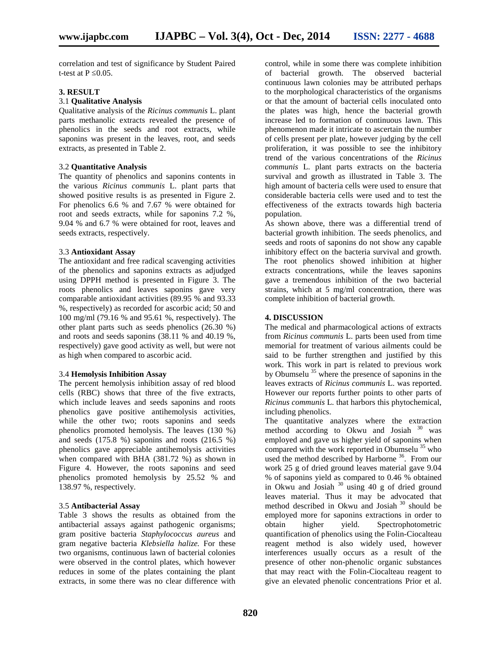correlation and test of significance by Student Paired t-test at P 0.05.

#### **3. RESULT**

#### 3.1 **Qualitative Analysis**

Qualitative analysis of the *Ricinus communis* L. plant parts methanolic extracts revealed the presence of phenolics in the seeds and root extracts, while saponins was present in the leaves, root, and seeds extracts, as presented in Table 2.

#### 3.2 **Quantitative Analysis**

The quantity of phenolics and saponins contents in the various *Ricinus communis* L. plant parts that showed positive results is as presented in Figure 2. For phenolics 6.6 % and 7.67 % were obtained for root and seeds extracts, while for saponins 7.2 %, 9.04 % and 6.7 % were obtained for root, leaves and seeds extracts, respectively.

#### 3.3 **Antioxidant Assay**

The antioxidant and free radical scavenging activities of the phenolics and saponins extracts as adjudged using DPPH method is presented in Figure 3. The roots phenolics and leaves saponins gave very comparable antioxidant activities (89.95 % and 93.33 %, respectively) as recorded for ascorbic acid; 50 and 100 mg/ml (79.16 % and 95.61 %, respectively). The other plant parts such as seeds phenolics (26.30 %) and roots and seeds saponins (38.11 % and 40.19 %, respectively) gave good activity as well, but were not as high when compared to ascorbic acid.

#### 3.4 **Hemolysis Inhibition Assay**

The percent hemolysis inhibition assay of red blood cells (RBC) shows that three of the five extracts, which include leaves and seeds saponins and roots phenolics gave positive antihemolysis activities, while the other two; roots saponins and seeds phenolics promoted hemolysis. The leaves (130 %) and seeds  $(175.8 \%)$  saponins and roots  $(216.5 \%)$ phenolics gave appreciable antihemolysis activities when compared with BHA (381.72 %) as shown in Figure 4. However, the roots saponins and seed phenolics promoted hemolysis by 25.52 % and 138.97 %, respectively.

#### 3.5 **Antibacterial Assay**

Table 3 shows the results as obtained from the antibacterial assays against pathogenic organisms; gram positive bacteria *Staphylococcus aureus* and gram negative bacteria *Klebsiella halize.* For these two organisms, continuous lawn of bacterial colonies were observed in the control plates, which however reduces in some of the plates containing the plant extracts, in some there was no clear difference with

control, while in some there was complete inhibition of bacterial growth. The observed bacterial continuous lawn colonies may be attributed perhaps to the morphological characteristics of the organisms or that the amount of bacterial cells inoculated onto the plates was high, hence the bacterial growth increase led to formation of continuous lawn. This phenomenon made it intricate to ascertain the number of cells present per plate, however judging by the cell proliferation, it was possible to see the inhibitory trend of the various concentrations of the *Ricinus communis* L. plant parts extracts on the bacteria survival and growth as illustrated in Table 3. The high amount of bacteria cells were used to ensure that considerable bacteria cells were used and to test the effectiveness of the extracts towards high bacteria population.

As shown above, there was a differential trend of bacterial growth inhibition. The seeds phenolics, and seeds and roots of saponins do not show any capable inhibitory effect on the bacteria survival and growth. The root phenolics showed inhibition at higher extracts concentrations, while the leaves saponins gave a tremendous inhibition of the two bacterial strains, which at 5 mg/ml concentration, there was complete inhibition of bacterial growth.

#### **4. DISCUSSION**

The medical and pharmacological actions of extracts from *Ricinus communis* L. parts been used from time memorial for treatment of various ailments could be said to be further strengthen and justified by this work. This work in part is related to previous work by Obumselu  $35$  where the presence of saponins in the leaves extracts of *Ricinus communis* L. was reported. However our reports further points to other parts of *Ricinus communis* L. that harbors this phytochemical, including phenolics.

The quantitative analyzes where the extraction method according to Okwu and Josiah  $30$  was employed and gave us higher yield of saponins when compared with the work reported in Obumselu  $35$  who used the method described by Harborne<sup>36</sup>. From our work 25 g of dried ground leaves material gave 9.04 % of saponins yield as compared to 0.46 % obtained in Okwu and Josiah  $30$  using 40 g of dried ground leaves material. Thus it may be advocated that method described in Okwu and Josiah<sup>30</sup> should be employed more for saponins extractions in order to obtain higher yield. Spectrophotometric quantification of phenolics using the Folin-Ciocalteau reagent method is also widely used, however interferences usually occurs as a result of the presence of other non-phenolic organic substances that may react with the Folin-Ciocalteau reagent to give an elevated phenolic concentrations Prior et al.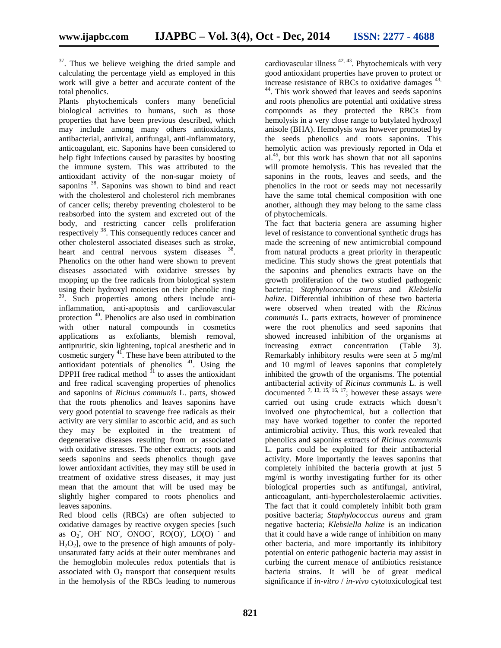<sup>37</sup>. Thus we believe weighing the dried sample and calculating the percentage yield as employed in this work will give a better and accurate content of the total phenolics.

Plants phytochemicals confers many beneficial biological activities to humans, such as those properties that have been previous described, which may include among many others antioxidants, antibacterial, antiviral, antifungal, anti-inflammatory, anticoagulant, etc. Saponins have been considered to help fight infections caused by parasites by boosting the immune system. This was attributed to the antioxidant activity of the non-sugar moiety of saponins <sup>38</sup>. Saponins was shown to bind and react with the cholesterol and cholesterol rich membranes of cancer cells; thereby preventing cholesterol to be reabsorbed into the system and excreted out of the body, and restricting cancer cells proliferation respectively <sup>38</sup>. This consequently reduces cancer and other cholesterol associated diseases such as stroke, heart and central nervous system diseases <sup>38</sup> . Phenolics on the other hand were shown to prevent diseases associated with oxidative stresses by mopping up the free radicals from biological system using their hydroxyl moieties on their phenolic ring 39 . Such properties among others include antiinflammation, anti-apoptosis and cardiovascular protection <sup>40</sup>. Phenolics are also used in combination with other natural compounds in cosmetics applications as exfoliants, blemish removal, antipruritic, skin lightening, topical anesthetic and in cosmetic surgery  $41$ . These have been attributed to the antioxidant potentials of phenolics  $41$ . Using the DPPH free radical method  $31$  to asses the antioxidant and free radical scavenging properties of phenolics and saponins of *Ricinus communis* L. parts, showed that the roots phenolics and leaves saponins have very good potential to scavenge free radicals as their activity are very similar to ascorbic acid, and as such they may be exploited in the treatment of degenerative diseases resulting from or associated with oxidative stresses. The other extracts; roots and seeds saponins and seeds phenolics though gave lower antioxidant activities, they may still be used in treatment of oxidative stress diseases, it may just mean that the amount that will be used may be slightly higher compared to roots phenolics and leaves saponins.

Red blood cells (RBCs) are often subjected to oxidative damages by reactive oxygen species [such as  $O_2$ , OH NO, ONOO, RO(O), LO(O) and  $H<sub>2</sub>O<sub>2</sub>$ , owe to the presence of high amounts of polyunsaturated fatty acids at their outer membranes and the hemoglobin molecules redox potentials that is associated with  $O_2$  transport that consequent results in the hemolysis of the RBCs leading to numerous

cardiovascular illness <sup>42, 43</sup>. Phytochemicals with very good antioxidant properties have proven to protect or increase resistance of RBCs to oxidative damages  $43$ , <sup>44</sup>. This work showed that leaves and seeds saponins and roots phenolics are potential anti oxidative stress compounds as they protected the RBCs from hemolysis in a very close range to butylated hydroxyl anisole (BHA). Hemolysis was however promoted by the seeds phenolics and roots saponins. This hemolytic action was previously reported in Oda et al.<sup>45</sup> , but this work has shown that not all saponins will promote hemolysis. This has revealed that the saponins in the roots, leaves and seeds, and the phenolics in the root or seeds may not necessarily have the same total chemical composition with one another, although they may belong to the same class of phytochemicals.

The fact that bacteria genera are assuming higher level of resistance to conventional synthetic drugs has made the screening of new antimicrobial compound from natural products a great priority in therapeutic medicine. This study shows the great potentials that the saponins and phenolics extracts have on the growth proliferation of the two studied pathogenic bacteria; *Staphylococcus aureus* and *Klebsiella halize*. Differential inhibition of these two bacteria were observed when treated with the *Ricinus communis* L. parts extracts, however of prominence were the root phenolics and seed saponins that showed increased inhibition of the organisms at extract concentration (Table 3). Remarkably inhibitory results were seen at 5 mg/ml and 10 mg/ml of leaves saponins that completely inhibited the growth of the organisms. The potential antibacterial activity of *Ricinus communis* L. is well documented  $^{7, 13, 15, 16, 17}$ ; however these assays were carried out using crude extracts which doesn't involved one phytochemical, but a collection that may have worked together to confer the reported antimicrobial activity. Thus, this work revealed that phenolics and saponins extracts of *Ricinus communis* L. parts could be exploited for their antibacterial activity. More importantly the leaves saponins that completely inhibited the bacteria growth at just 5 mg/ml is worthy investigating further for its other biological properties such as antifungal, antiviral, anticoagulant, anti-hypercholesterolaemic activities. The fact that it could completely inhibit both gram positive bacteria; *Staphylococcus aureus* and gram negative bacteria; *Klebsiella halize* is an indication that it could have a wide range of inhibition on many other bacteria, and more importantly its inhibitory potential on enteric pathogenic bacteria may assist in curbing the current menace of antibiotics resistance bacteria strains. It will be of great medical significance if *in-vitro* / *in-vivo* cytotoxicological test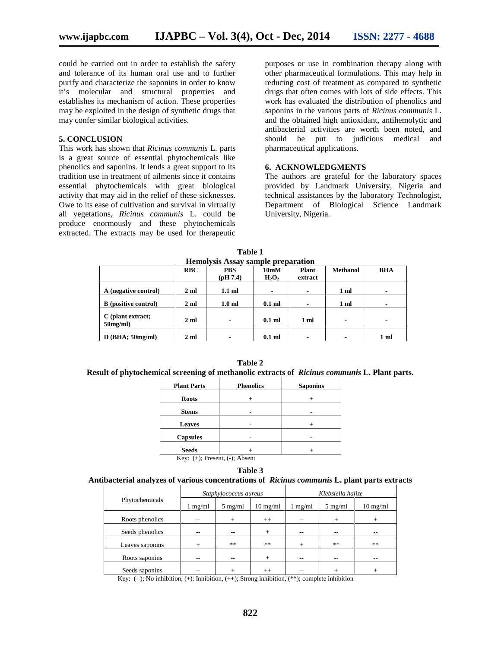could be carried out in order to establish the safety and tolerance of its human oral use and to further purify and characterize the saponins in order to know it's molecular and structural properties and establishes its mechanism of action. These properties may be exploited in the design of synthetic drugs that may confer similar biological activities.

#### **5. CONCLUSION**

This work has shown that *Ricinus communis* L. parts is a great source of essential phytochemicals like phenolics and saponins. It lends a great support to its tradition use in treatment of ailments since it contains essential phytochemicals with great biological activity that may aid in the relief of these sicknesses. Owe to its ease of cultivation and survival in virtually all vegetations, *Ricinus communis* L. could be produce enormously and these phytochemicals extracted. The extracts may be used for therapeutic purposes or use in combination therapy along with other pharmaceutical formulations. This may help in reducing cost of treatment as compared to synthetic drugs that often comes with lots of side effects. This work has evaluated the distribution of phenolics and saponins in the various parts of *Ricinus communis* L. and the obtained high antioxidant, antihemolytic and antibacterial activities are worth been noted, and should be put to judicious medical and pharmaceutical applications.

#### **6. ACKNOWLEDGMENTS**

The authors are grateful for the laboratory spaces provided by Landmark University, Nigeria and technical assistances by the laboratory Technologist, Department of Biological Science Landmark University, Nigeria.

| Tremorysis Assay sample preparation |                |                          |                   |                |                 |                          |  |  |  |  |
|-------------------------------------|----------------|--------------------------|-------------------|----------------|-----------------|--------------------------|--|--|--|--|
|                                     | <b>RBC</b>     | <b>PBS</b>               | 10 <sub>m</sub> M | <b>Plant</b>   | <b>Methanol</b> | <b>BHA</b>               |  |  |  |  |
|                                     |                | $\left($ pH 7.4)         | $H_2O_2$          | extract        |                 |                          |  |  |  |  |
|                                     |                |                          |                   |                |                 |                          |  |  |  |  |
| A (negative control)                | $2 \text{ ml}$ | $1.1$ ml                 | $\blacksquare$    | $\blacksquare$ | 1 <sub>m</sub>  | $\overline{\phantom{a}}$ |  |  |  |  |
|                                     |                |                          |                   |                |                 |                          |  |  |  |  |
| <b>B</b> (positive control)         | $2 \text{ ml}$ | 1.0 <sub>m</sub>         | $0.1$ ml          | $\blacksquare$ | 1 <sub>m</sub>  | $\blacksquare$           |  |  |  |  |
|                                     |                |                          |                   |                |                 |                          |  |  |  |  |
| C (plant extract;                   | 2 <sub>m</sub> | $\overline{\phantom{0}}$ | $0.1$ ml          | 1 ml           | ۰               | $\blacksquare$           |  |  |  |  |
| $50$ mg/ml)                         |                |                          |                   |                |                 |                          |  |  |  |  |
|                                     |                |                          |                   |                |                 |                          |  |  |  |  |
| $D$ (BHA; 50mg/ml)                  | $2 \text{ ml}$ | $\blacksquare$           | $0.1$ ml          | $\blacksquare$ | ۰               | 1 <sub>m</sub>           |  |  |  |  |

**Table 1 Hemolysis Assay sample preparation**

**Table 2 Result of phytochemical screening of methanolic extracts of** *Ricinus communis* **L. Plant parts.**

| <b>Plant Parts</b>                   | <b>Phenolics</b> | <b>Saponins</b> |  |  |  |
|--------------------------------------|------------------|-----------------|--|--|--|
| <b>Roots</b>                         |                  |                 |  |  |  |
| <b>Stems</b>                         |                  |                 |  |  |  |
| <b>Leaves</b>                        |                  |                 |  |  |  |
| <b>Capsules</b>                      |                  |                 |  |  |  |
| <b>Seeds</b>                         |                  |                 |  |  |  |
| Key: $(+)$ ; Present, $(-)$ ; Absent |                  |                 |  |  |  |

**Table 3**

## **Antibacterial analyzes of various concentrations of** *Ricinus communis* **L. plant parts extracts**

| Phytochemicals  | Staphylococcus aureus |                   |                    | Klebsiella halize |                   |                    |
|-----------------|-----------------------|-------------------|--------------------|-------------------|-------------------|--------------------|
|                 | $1 \text{ mg/ml}$     | $5 \text{ mg/ml}$ | $10 \text{ mg/ml}$ | $1 \text{ mg/ml}$ | $5 \text{ mg/ml}$ | $10 \text{ mg/ml}$ |
| Roots phenolics | --                    | $+$               | $++$               | --                | $^{+}$            | $^{+}$             |
| Seeds phenolics | --                    | --                | $+$                | --                |                   | --                 |
| Leaves saponins | $+$                   | **                | **                 | $\overline{+}$    | **                | **                 |
| Roots saponins  |                       | --                | $+$                | --                |                   |                    |
| Seeds saponins  |                       | ┿                 | $++$               |                   |                   |                    |

Key: (--); No inhibition,  $(+)$ ; Inhibition,  $(++)$ ; Strong inhibition,  $(**)$ ; complete inhibition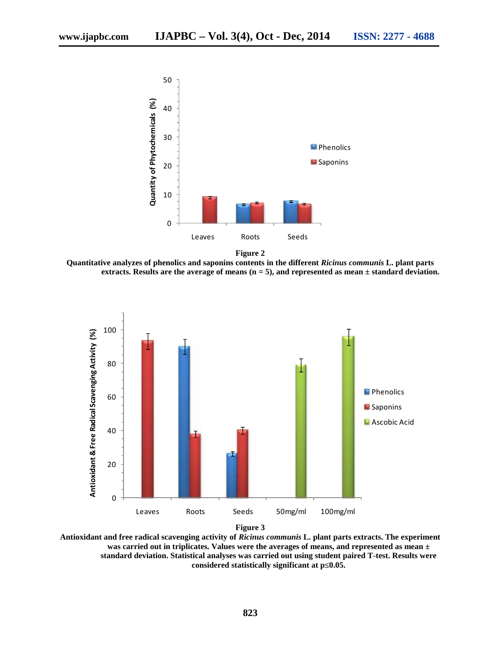

**Quantitative analyzes of phenolics and saponins contents in the different** *Ricinus communis* **L. plant parts**

**extracts. Results are the average of means (n = 5), and represented as mean ± standard deviation.**



**Figure 3**

**Antioxidant and free radical scavenging activity of** *Ricinus communis* **L. plant parts extracts. The experiment was carried out in triplicates. Values were the averages of means, and represented as mean ± standard deviation. Statistical analyses was carried out using student paired T-test. Results were considered statistically significant at p** 0.05.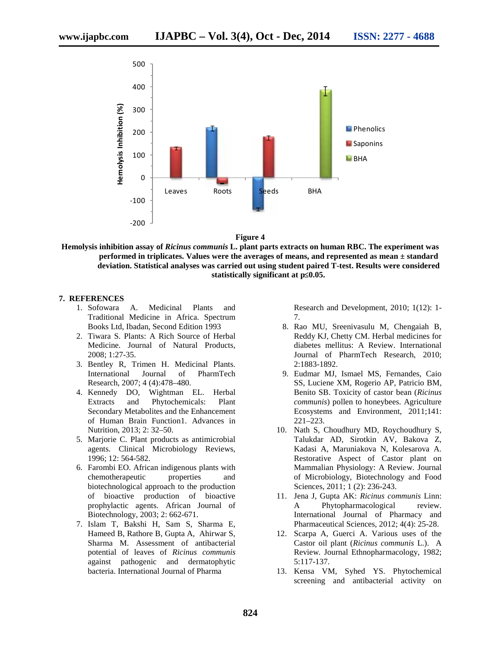

**Figure 4**

**Hemolysis inhibition assay of** *Ricinus communis* **L. plant parts extracts on human RBC. The experiment was performed in triplicates. Values were the averages of means, and represented as mean ± standard deviation. Statistical analyses was carried out using student paired T-test. Results were considered statistically significant at p** 0.05.

#### **7. REFERENCES**

- 1. Sofowara A. Medicinal Plants and Traditional Medicine in Africa. Spectrum Books Ltd, Ibadan, Second Edition 1993
- 2. Tiwara S. Plants: A Rich Source of Herbal Medicine. Journal of Natural Products, 2008; 1:27-35.
- 3. Bentley R, Trimen H. Medicinal Plants. International Journal of PharmTech Research, 2007; 4 (4):478–480.
- 4. Kennedy DO, Wightman EL. Herbal Extracts and Phytochemicals: Plant Secondary Metabolites and the Enhancement of Human Brain Function1. Advances in Nutrition, 2013; 2: 32–50.
- 5. Marjorie C. Plant products as antimicrobial agents. Clinical Microbiology Reviews, 1996; 12: 564-582.
- 6. Farombi EO. African indigenous plants with chemotherapeutic properties and biotechnological approach to the production of bioactive production of bioactive prophylactic agents. African Journal of Biotechnology, 2003; 2: 662-671.
- 7. Islam T, Bakshi H, Sam S, Sharma E, Hameed B, Rathore B, Gupta A, Ahirwar S, Sharma M. Assessment of antibacterial potential of leaves of *Ricinus communis* against pathogenic and dermatophytic bacteria. International Journal of Pharma

Research and Development, 2010; 1(12): 1- 7.

- 8. Rao MU, Sreenivasulu M, Chengaiah B, Reddy KJ, Chetty CM. Herbal medicines for diabetes mellitus: A Review. International Journal of PharmTech Research, 2010; 2:1883-1892.
- 9. Eudmar MJ, Ismael MS, Fernandes, Caio SS, Luciene XM, Rogerio AP, Patricio BM, Benito SB. Toxicity of castor bean (*Ricinus communis*) pollen to honeybees. Agriculture Ecosystems and Environment, 2011;141: 221–223.
- 10. Nath S, Choudhury MD, Roychoudhury S, Talukdar AD, Sirotkin AV, Bakova Z, Kadasi A, Maruniakova N, Kolesarova A. Restorative Aspect of Castor plant on Mammalian Physiology: A Review. Journal of Microbiology, Biotechnology and Food Sciences, 2011; 1 (2): 236-243.
- 11. Jena J, Gupta AK: *Ricinus communis* Linn: A Phytopharmacological review. International Journal of Pharmacy and Pharmaceutical Sciences, 2012; 4(4): 25-28.
- 12. Scarpa A, Guerci A. Various uses of the Castor oil plant (*Ricinus communis* L.). A Review*.* Journal Ethnopharmacology, 1982; 5:117-137.
- 13. Kensa VM, Syhed YS. Phytochemical screening and antibacterial activity on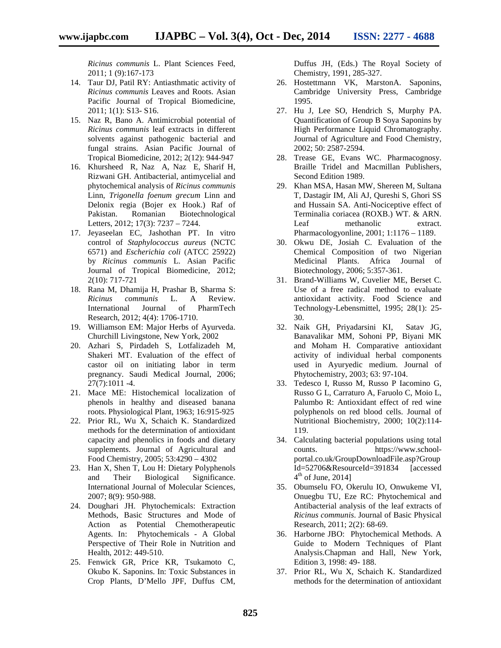*Ricinus communis* L. Plant Sciences Feed, 2011; 1 (9):167-173

- 14. Taur DJ, Patil RY: Antiasthmatic activity of *Ricinus communis* Leaves and Roots. Asian Pacific Journal of Tropical Biomedicine, 2011; 1(1): S13- S16.
- 15. Naz R, Bano A. Antimicrobial potential of *Ricinus communis* leaf extracts in different solvents against pathogenic bacterial and fungal strains. Asian Pacific Journal of Tropical Biomedicine, 2012; 2(12): 944-947
- 16. Khursheed R, Naz A, Naz E, Sharif H, Rizwani GH. Antibacterial, antimycelial and phytochemical analysis of *Ricinus communis* Linn, *Trigonella foenum grecum* Linn and Delonix regia (Bojer ex Hook.) Raf of Pakistan. Romanian Biotechnological Letters, 2012; 17(3): 7237 – 7244.
- 17. Jeyaseelan EC, Jashothan PT. In vitro control of *Staphylococcus aureus* (NCTC 6571) and *Escherichia coli* (ATCC 25922) by *Ricinus communis* L. Asian Pacific Journal of Tropical Biomedicine, 2012; 2(10): 717-721
- 18. Rana M, Dhamija H, Prashar B, Sharma S: *Ricinus communis* L. A Review. International Journal of PharmTech Research, 2012; 4(4): 1706-1710.
- 19. Williamson EM: Major Herbs of Ayurveda. Churchill Livingstone, New York, 2002
- 20. Azhari S, Pirdadeh S, Lotfalizadeh M, Shakeri MT. Evaluation of the effect of castor oil on initiating labor in term pregnancy. Saudi Medical Journal, 2006; 27(7):1011 -4.
- 21. Mace ME: Histochemical localization of phenols in healthy and diseased banana roots. Physiological Plant, 1963; 16:915-925
- 22. Prior RL, Wu X, Schaich K. Standardized methods for the determination of antioxidant capacity and phenolics in foods and dietary supplements. Journal of Agricultural and Food Chemistry, 2005; 53:4290 – 4302
- 23. Han X, Shen T, Lou H: Dietary Polyphenols and Their Biological Significance. International Journal of Molecular Sciences, 2007; 8(9): 950-988.
- 24. Doughari JH. Phytochemicals: Extraction Methods, Basic Structures and Mode of Action as Potential Chemotherapeutic Agents. In: Phytochemicals - A Global Perspective of Their Role in Nutrition and Health, 2012: 449-510.
- 25. Fenwick GR, Price KR, Tsukamoto C, Okubo K. Saponins. In: Toxic Substances in Crop Plants, D'Mello JPF, Duffus CM,

Duffus JH, (Eds.) The Royal Society of Chemistry, 1991, 285-327.

- 26. Hostettmann VK, MarstonA. Saponins, Cambridge University Press, Cambridge 1995.
- 27. Hu J, Lee SO, Hendrich S, Murphy PA. Quantification of Group B Soya Saponins by High Performance Liquid Chromatography. Journal of Agriculture and Food Chemistry, 2002; 50: 2587-2594.
- 28. Trease GE, Evans WC. Pharmacognosy. Braille Tridel and Macmillan Publishers, Second Edition 1989.
- 29. Khan MSA, Hasan MW, Shereen M, Sultana T, Dastagir IM, Ali AJ, Qureshi S, Ghori SS and Hussain SA. Anti-Nociceptive effect of Terminalia coriacea (ROXB.) WT. & ARN. Leaf methanolic extract. Pharmacologyonline, 2001; 1:1176 – 1189.
- 30. Okwu DE, Josiah C. Evaluation of the Chemical Composition of two Nigerian Medicinal Plants. Africa Journal of Biotechnology, 2006; 5:357-361.
- 31. Brand-Williams W, Cuvelier ME, Berset C. Use of a free radical method to evaluate antioxidant activity. Food Science and Technology-Lebensmittel, 1995; 28(1): 25- 30.
- 32. Naik GH, Priyadarsini KI, Satav JG, Banavalikar MM, Sohoni PP, Biyani MK and Moham H. Comparative antioxidant activity of individual herbal components used in Ayuryedic medium. Journal of Phytochemistry, 2003; 63: 97-104.
- 33. Tedesco I, Russo M, Russo P Iacomino G, Russo G L, Carraturo A, Faruolo C, Moio L, Palumbo R: Antioxidant effect of red wine polyphenols on red blood cells. Journal of Nutritional Biochemistry, 2000; 10(2):114- 119.
- 34. Calculating bacterial populations using total counts. https://www.school portal.co.uk/GroupDownloadFile.asp?Group Id=52706&ResourceId=391834 [accessed  $4<sup>th</sup>$  of June, 2014]
- 35. Obumselu FO, Okerulu IO, Onwukeme VI, Onuegbu TU, Eze RC: Phytochemical and Antibacterial analysis of the leaf extracts of *Ricinus communis*. Journal of Basic Physical Research, 2011; 2(2): 68-69.
- 36. Harborne JBO: Phytochemical Methods. A Guide to Modern Techniques of Plant Analysis.Chapman and Hall, New York, Edition 3, 1998: 49- 188.
- 37. Prior RL, Wu X, Schaich K. Standardized methods for the determination of antioxidant